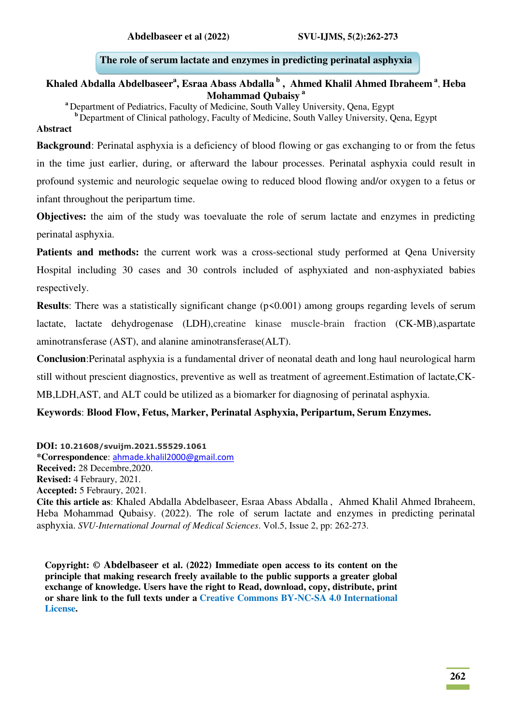### **The role of serum lactate and enzymes in predicting perinatal asphyxia**

### **Khaled Abdalla Abdelbaseer<sup>a</sup> , Esraa Abass Abdalla<sup>b</sup> , Ahmed Khalil Ahmed Ibraheem<sup>a</sup>** , **Heba Mohammad Qubaisy<sup>a</sup>**

**<sup>a</sup>**Department of Pediatrics, Faculty of Medicine, South Valley University, Qena, Egypt

<sup>b</sup> Department of Clinical pathology, Faculty of Medicine, South Valley University, Qena, Egypt

#### **Abstract**

**Background**: Perinatal asphyxia is a deficiency of blood flowing or gas exchanging to or from the fetus in the time just earlier, during, or afterward the labour processes. Perinatal asphyxia could result in profound systemic and neurologic sequelae owing to reduced blood flowing and/or oxygen to a fetus or infant throughout the peripartum time.

**Objectives:** the aim of the study was toevaluate the role of serum lactate and enzymes in predicting perinatal asphyxia.

Patients and methods: the current work was a cross-sectional study performed at Qena University Hospital including 30 cases and 30 controls included of asphyxiated and non-asphyxiated babies respectively.

**Results**: There was a statistically significant change ( $p \le 0.001$ ) among groups regarding levels of serum lactate, lactate dehydrogenase (LDH),creatine kinase muscle-brain fraction (CK-MB),aspartate aminotransferase (AST), and alanine aminotransferase(ALT).

**Conclusion**:Perinatal asphyxia is a fundamental driver of neonatal death and long haul neurological harm still without prescient diagnostics, preventive as well as treatment of agreement.Estimation of lactate,CK-MB,LDH,AST, and ALT could be utilized as a biomarker for diagnosing of perinatal asphyxia.

**Keywords**: **Blood Flow, Fetus, Marker, Perinatal Asphyxia, Peripartum, Serum Enzymes.**

#### **DOI: 10.21608/svuijm.2021.55529.1061**

**\*Correspondence**: [ahmade.khalil2000@gmail.com](mailto:ahmade.khalil2000@gmail.com) **Received:** 28 Decembre,2020. **Revised:** 4 Febraury, 2021. **Accepted:** 5 Febraury, 2021. **Cite this article as**: Khaled Abdalla Abdelbaseer, Esraa Abass Abdalla , Ahmed Khalil Ahmed Ibraheem, Heba Mohammad Qubaisy. (2022). The role of serum lactate and enzymes in predicting perinatal asphyxia. *SVU-International Journal of Medical Sciences*. Vol.5, Issue 2, pp: 262-273.

**Copyright: © Abdelbaseer et al. (2022) Immediate open access to its content on the principle that making research freely available to the public supports a greater global exchange of knowledge. Users have the right to Read, download, copy, distribute, print or share link to the full texts under a [Creative Commons BY-NC-SA 4.0 International](https://creativecommons.org/licenses/by-nc-sa/4.0/)  [License.](https://creativecommons.org/licenses/by-nc-sa/4.0/)**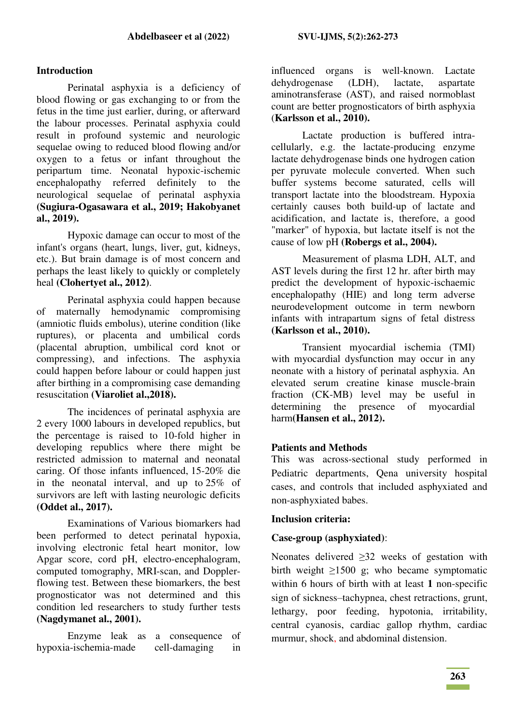### **Introduction**

Perinatal asphyxia is a deficiency of blood flowing or gas exchanging to or from the fetus in the time just earlier, during, or afterward the labour processes. Perinatal asphyxia could result in profound systemic and neurologic sequelae owing to reduced blood flowing and/or oxygen to a fetus or infant throughout the peripartum time. Neonatal hypoxic-ischemic encephalopathy referred definitely to the neurological sequelae of perinatal asphyxia **(Sugiura-Ogasawara et al., 2019; Hakobyanet al., 2019).** 

Hypoxic damage can occur to most of the infant's organs (heart, lungs, liver, gut, kidneys, etc.). But brain damage is of most concern and perhaps the least likely to quickly or completely heal **(Clohertyet al., 2012)**.

Perinatal asphyxia could happen because of maternally hemodynamic compromising (amniotic fluids embolus), uterine condition (like ruptures), or placenta and umbilical cords (placental abruption, umbilical cord knot or compressing), and infections. The asphyxia could happen before labour or could happen just after birthing in a compromising case demanding resuscitation **(Viaroliet al.,2018).**

The incidences of perinatal asphyxia are 2 every 1000 labours in developed republics, but the percentage is raised to 10-fold higher in developing republics where there might be restricted admission to maternal and neonatal caring. Of those infants influenced, 15-20% die in the neonatal interval, and up to 25% of survivors are left with lasting neurologic deficits **(Oddet al., 2017).**

Examinations of Various biomarkers had been performed to detect perinatal hypoxia, involving electronic fetal heart monitor, low Apgar score, cord pH, electro-encephalogram, computed tomography, MRI-scan, and Dopplerflowing test. Between these biomarkers, the best prognosticator was not determined and this condition led researchers to study further tests **(Nagdymanet al., 2001).** 

Enzyme leak as a consequence of hypoxia-ischemia-made cell-damaging in influenced organs is well-known. Lactate dehydrogenase (LDH), lactate, aspartate aminotransferase (AST), and raised normoblast count are better prognosticators of birth asphyxia (**Karlsson et al., 2010).** 

Lactate production is buffered intracellularly, e.g. the lactate-producing enzyme lactate dehydrogenase binds one hydrogen cation per pyruvate molecule converted. When such buffer systems become saturated, cells will transport lactate into the bloodstream. Hypoxia certainly causes both build-up of lactate and acidification, and lactate is, therefore, a good "marker" of hypoxia, but lactate itself is not the cause of low pH **(Robergs et al., 2004).** 

Measurement of plasma LDH, ALT, and AST levels during the first 12 hr. after birth may predict the development of hypoxic-ischaemic encephalopathy (HIE) and long term adverse neurodevelopment outcome in term newborn infants with intrapartum signs of fetal distress **(Karlsson et al., 2010).** 

Transient myocardial ischemia (TMI) with myocardial dysfunction may occur in any neonate with a history of perinatal asphyxia. An elevated serum creatine kinase muscle-brain fraction (CK-MB) level may be useful in determining the presence of myocardial harm**(Hansen et al., 2012).** 

# **Patients and Methods**

This was across-sectional study performed in Pediatric departments, Qena university hospital cases, and controls that included asphyxiated and non-asphyxiated babes.

### **Inclusion criteria:**

### **Case-group (asphyxiated)**:

Neonates delivered  $\geq 32$  weeks of gestation with birth weight ≥1500 g; who became symptomatic within 6 hours of birth with at least **1** non-specific sign of sickness–tachypnea, chest retractions, grunt, lethargy, poor feeding, hypotonia, irritability, central cyanosis, cardiac gallop rhythm, cardiac murmur, shock, and abdominal distension.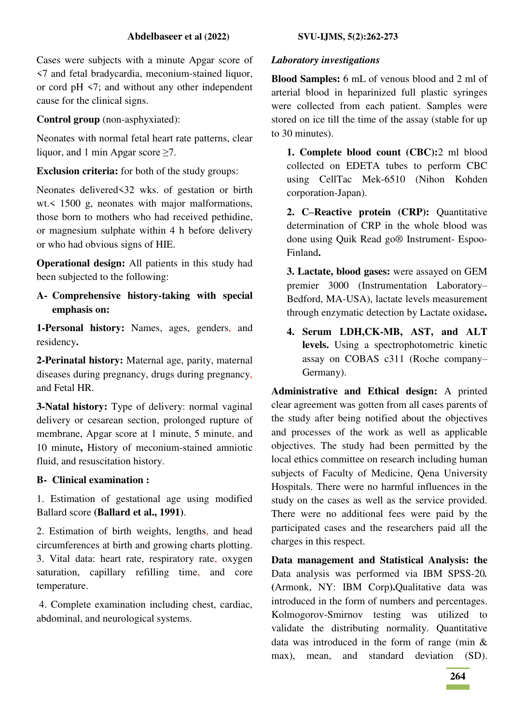Cases were subjects with a minute Apgar score of <7 and fetal bradycardia, meconium-stained liquor, or cord pH <7; and without any other independent cause for the clinical signs.

**Control group** (non-asphyxiated):

Neonates with normal fetal heart rate patterns, clear liquor, and 1 min Apgar score  $\geq 7$ .

**Exclusion criteria:** for both of the study groups:

Neonates delivered<32 wks. of gestation or birth wt.< 1500 g, neonates with major malformations, those born to mothers who had received pethidine, or magnesium sulphate within 4 h before delivery or who had obvious signs of HIE.

**Operational design:** All patients in this study had been subjected to the following:

**A- Comprehensive history-taking with special emphasis on:** 

**1-Personal history:** Names, ages, genders, and residency**.** 

**2-Perinatal history:** Maternal age, parity, maternal diseases during pregnancy, drugs during pregnancy, and Fetal HR.

**3-Natal history:** Type of delivery: normal vaginal delivery or cesarean section, prolonged rupture of membrane, Apgar score at 1 minute, 5 minute, and 10 minute**,** History of meconium-stained amniotic fluid, and resuscitation history.

# **B- Clinical examination :**

1. Estimation of gestational age using modified Ballard score **(Ballard et al., 1991)**.

2. Estimation of birth weights, lengths, and head circumferences at birth and growing charts plotting. 3. Vital data: heart rate, respiratory rate, oxygen saturation, capillary refilling time, and core temperature.

 4. Complete examination including chest, cardiac, abdominal, and neurological systems.

### *Laboratory investigations*

**Blood Samples:** 6 mL of venous blood and 2 ml of arterial blood in heparinized full plastic syringes were collected from each patient. Samples were stored on ice till the time of the assay (stable for up to 30 minutes).

**1. Complete blood count (CBC):**2 ml blood collected on EDETA tubes to perform CBC using CellTac Mek-6510 (Nihon Kohden corporation-Japan).

**2. C–Reactive protein (CRP):** Quantitative determination of CRP in the whole blood was done using Quik Read go® Instrument- Espoo-Finland**.** 

**3. Lactate, blood gases:** were assayed on GEM premier 3000 (Instrumentation Laboratory– Bedford, MA-USA), lactate levels measurement through enzymatic detection by Lactate oxidase**.** 

**4. Serum LDH,CK-MB, AST, and ALT levels.** Using a spectrophotometric kinetic assay on COBAS c311 (Roche company– Germany).

**Administrative and Ethical design:** A printed clear agreement was gotten from all cases parents of the study after being notified about the objectives and processes of the work as well as applicable objectives. The study had been permitted by the local ethics committee on research including human subjects of Faculty of Medicine, Qena University Hospitals. There were no harmful influences in the study on the cases as well as the service provided. There were no additional fees were paid by the participated cases and the researchers paid all the charges in this respect.

**Data management and Statistical Analysis: the**  Data analysis was performed via IBM SPSS-20*.*  **(**Armonk, NY: IBM Corp**).**Qualitative data was introduced in the form of numbers and percentages. Kolmogorov-Smirnov testing was utilized to validate the distributing normality. Quantitative data was introduced in the form of range (min & max), mean, and standard deviation (SD).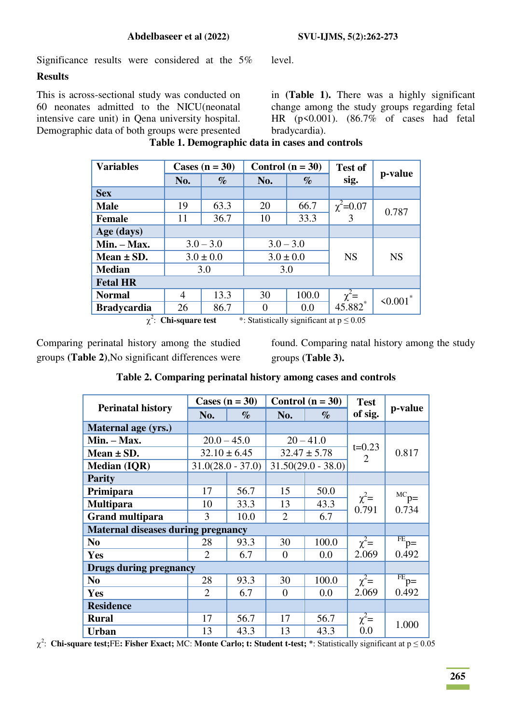Significance results were considered at the 5% level.

#### **Results**

This is across-sectional study was conducted on 60 neonates admitted to the NICU(neonatal intensive care unit) in Qena university hospital. Demographic data of both groups were presented

in **(Table 1).** There was a highly significant change among the study groups regarding fetal HR (p<0.001). (86.7% of cases had fetal bradycardia).

| <b>Variables</b>   | Cases $(n = 30)$                                                           |               | Control $(n = 30)$ |       | <b>Test of</b>      |                |
|--------------------|----------------------------------------------------------------------------|---------------|--------------------|-------|---------------------|----------------|
|                    | No.                                                                        | $\%$          | No.                | $\%$  | sig.                | p-value        |
| <b>Sex</b>         |                                                                            |               |                    |       |                     |                |
| <b>Male</b>        | 19                                                                         | 63.3          | 20                 | 66.7  | $\chi^2$ =0.07      | 0.787          |
| <b>Female</b>      | 11                                                                         | 36.7          | 10                 | 33.3  | 3                   |                |
| Age (days)         |                                                                            |               |                    |       |                     |                |
| $Min. - Max.$      |                                                                            | $3.0 - 3.0$   | $3.0 - 3.0$        |       |                     |                |
| Mean $\pm$ SD.     |                                                                            | $3.0 \pm 0.0$ | $3.0 \pm 0.0$      |       | <b>NS</b>           | <b>NS</b>      |
| <b>Median</b>      |                                                                            | 3.0           | 3.0                |       |                     |                |
| <b>Fetal HR</b>    |                                                                            |               |                    |       |                     |                |
| <b>Normal</b>      | 4                                                                          | 13.3          | 30                 | 100.0 | $\chi^2 = 45.882^*$ | $\leq 0.001$ * |
| <b>Bradycardia</b> | 26                                                                         | 86.7          |                    | 0.0   |                     |                |
|                    | $\chi^2$ : Chi-square test<br>*: Statistically significant at $p \le 0.05$ |               |                    |       |                     |                |

#### **Table 1. Demographic data in cases and controls**

: **Chi-square test** \*: Statistically significant at p ≤ 0.05

Comparing perinatal history among the studied groups **(Table 2)**,No significant differences were found. Comparing natal history among the study groups **(Table 3).** 

### **Table 2. Comparing perinatal history among cases and controls**

|                                           | Cases $(n = 30)$    |      |                | Control $(n = 30)$   | <b>Test</b>    |                                  |
|-------------------------------------------|---------------------|------|----------------|----------------------|----------------|----------------------------------|
| <b>Perinatal history</b>                  | No.                 | $\%$ | No.            | $\%$                 | of sig.        | p-value                          |
| Maternal age (yrs.)                       |                     |      |                |                      |                |                                  |
| $Min. - Max.$                             | $20.0 - 45.0$       |      |                | $20 - 41.0$          | $t = 0.23$     |                                  |
| Mean $\pm$ SD.                            | $32.10 \pm 6.45$    |      |                | $32.47 \pm 5.78$     | $\overline{2}$ | 0.817                            |
| <b>Median (IQR)</b>                       | $31.0(28.0 - 37.0)$ |      |                | $31.50(29.0 - 38.0)$ |                |                                  |
| <b>Parity</b>                             |                     |      |                |                      |                |                                  |
| Primipara                                 | 17                  | 56.7 | 15             | 50.0                 | $\chi^2$ =     | ${}^{\text{MC}}P =$              |
| <b>Multipara</b>                          | 10                  | 33.3 | 13             | 43.3                 | 0.791          | 0.734                            |
| <b>Grand multipara</b>                    | 3                   | 10.0 | $\overline{2}$ | 6.7                  |                |                                  |
| <b>Maternal diseases during pregnancy</b> |                     |      |                |                      |                |                                  |
| N <sub>0</sub>                            | 28                  | 93.3 | 30             | 100.0                | $\chi^2$ =     | $\overline{FB}$ $\overline{p}$ = |
| Yes                                       | $\overline{2}$      | 6.7  | $\theta$       | 0.0                  | 2.069          | 0.492                            |
| <b>Drugs during pregnancy</b>             |                     |      |                |                      |                |                                  |
| N <sub>0</sub>                            | 28                  | 93.3 | 30             | 100.0                | $\chi^2$ =     | $FE_{p=}$                        |
| <b>Yes</b>                                | 2                   | 6.7  | $\theta$       | 0.0                  | 2.069          | 0.492                            |
| <b>Residence</b>                          |                     |      |                |                      |                |                                  |
| <b>Rural</b>                              | 17                  | 56.7 | 17             | 56.7                 | $\chi^2$ =     | 1.000                            |
| <b>Urban</b>                              | 13                  | 43.3 | 13             | 43.3                 | 0.0            |                                  |

2 : **Chi-square test;**FE**: Fisher Exact;** MC: **Monte Carlo; t: Student t-test;** \*: Statistically significant at p ≤ 0.05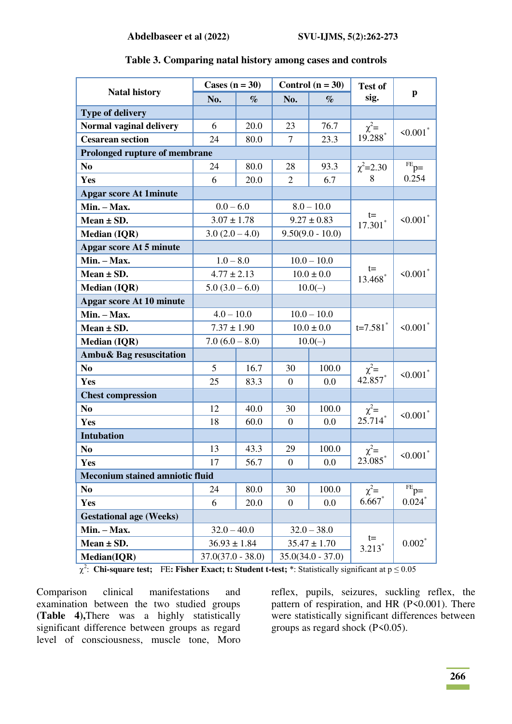|                                        | Cases $(n = 30)$    |      |                  | Control $(n = 30)$  | <b>Test of</b>                    |                           |
|----------------------------------------|---------------------|------|------------------|---------------------|-----------------------------------|---------------------------|
| <b>Natal history</b>                   | No.                 | $\%$ | No.              | $\%$                | sig.                              | $\mathbf{p}$              |
| <b>Type of delivery</b>                |                     |      |                  |                     |                                   |                           |
| Normal vaginal delivery                | 6                   | 20.0 | 23               | 76.7                |                                   | $\leq 0.001$ <sup>*</sup> |
| <b>Cesarean section</b>                | 24                  | 80.0 | $\overline{7}$   | 23.3                | $\chi^2 = 19.288^*$               |                           |
| Prolonged rupture of membrane          |                     |      |                  |                     |                                   |                           |
| N <sub>0</sub>                         | 24                  | 80.0 | 28               | 93.3                | $\chi^2$ =2.30                    | $PE$ p=                   |
| Yes                                    | 6                   | 20.0 | 2                | 6.7                 | 8                                 | 0.254                     |
| <b>Apgar score At 1minute</b>          |                     |      |                  |                     |                                   |                           |
| Min. - Max.                            | $0.0 - 6.0$         |      |                  | $8.0 - 10.0$        |                                   |                           |
| Mean $\pm$ SD.                         | $3.07 \pm 1.78$     |      |                  | $9.27 \pm 0.83$     | t=<br>$17.301$ *                  | $\leq 0.001$ *            |
| <b>Median (IQR)</b>                    | $3.0(2.0-4.0)$      |      |                  | $9.50(9.0 - 10.0)$  |                                   |                           |
| <b>Apgar score At 5 minute</b>         |                     |      |                  |                     |                                   |                           |
| Min. - Max.                            | $1.0 - 8.0$         |      |                  | $10.0 - 10.0$       |                                   |                           |
| Mean $\pm$ SD.                         | $4.77 \pm 2.13$     |      |                  | $10.0 \pm 0.0$      | $t =$<br>$13.468*$                | $\leq 0.001$ <sup>*</sup> |
| <b>Median (IQR)</b>                    | $5.0(3.0-6.0)$      |      | $10.0(-)$        |                     |                                   |                           |
| <b>Apgar score At 10 minute</b>        |                     |      |                  |                     |                                   |                           |
| Min. - Max.                            | $4.0 - 10.0$        |      | $10.0 - 10.0$    |                     |                                   | $\leq 0.001$ <sup>*</sup> |
| Mean $\pm$ SD.                         | $7.37 \pm 1.90$     |      | $10.0 \pm 0.0$   |                     | $t=7.581$ <sup>*</sup>            |                           |
| <b>Median (IQR)</b>                    | $7.0(6.0 - 8.0)$    |      | $10.0(-)$        |                     |                                   |                           |
| Ambu& Bag resuscitation                |                     |      |                  |                     |                                   |                           |
| N <sub>0</sub>                         | 5                   | 16.7 | 30               | 100.0               | $\chi^2 =$<br>42.857 <sup>*</sup> | $< 0.001$ *               |
| Yes                                    | 25                  | 83.3 | $\boldsymbol{0}$ | 0.0                 |                                   |                           |
| <b>Chest compression</b>               |                     |      |                  |                     |                                   |                           |
| N <sub>0</sub>                         | 12                  | 40.0 | 30<br>100.0      |                     | $\chi^2 = 25.714^*$               | $< 0.001$ *               |
| Yes                                    | 18                  | 60.0 | $\boldsymbol{0}$ | 0.0                 |                                   |                           |
| <b>Intubation</b>                      |                     |      |                  |                     |                                   |                           |
| N <sub>0</sub>                         | 13                  | 43.3 | 29               | 100.0               | $\chi^2$ =                        | $\le 0.001$ <sup>*</sup>  |
| Yes                                    | 17<br>56.7          |      | $\boldsymbol{0}$ | 0.0                 | $23.085$ <sup>*</sup>             |                           |
| <b>Meconium stained amniotic fluid</b> |                     |      |                  |                     |                                   |                           |
| N <sub>0</sub>                         | 24<br>80.0          |      | 30               | 100.0               | $\chi^2$ =                        | $F_E$ $p=$                |
| <b>Yes</b>                             | 20.0<br>6           |      | $\overline{0}$   | 0.0                 | $6.667*$                          | 0.024                     |
| <b>Gestational age (Weeks)</b>         |                     |      |                  |                     |                                   |                           |
| Min. - Max.                            | $32.0 - 40.0$       |      |                  | $32.0 - 38.0$       |                                   |                           |
| Mean $\pm$ SD.                         | $36.93 \pm 1.84$    |      |                  | $35.47 \pm 1.70$    | $t =$<br>$3.213*$                 | $0.002*$                  |
| Median(IQR)                            | $37.0(37.0 - 38.0)$ |      |                  | $35.0(34.0 - 37.0)$ |                                   |                           |

#### **Table 3. Comparing natal history among cases and controls**

2 : **Chi-square test;** FE**: Fisher Exact; t: Student t-test;** \*: Statistically significant at p ≤ 0.05

Comparison clinical manifestations and examination between the two studied groups **(Table 4),**There was a highly statistically significant difference between groups as regard level of consciousness, muscle tone, Moro

reflex, pupils, seizures, suckling reflex, the pattern of respiration, and HR (P<0.001). There were statistically significant differences between groups as regard shock (P<0.05).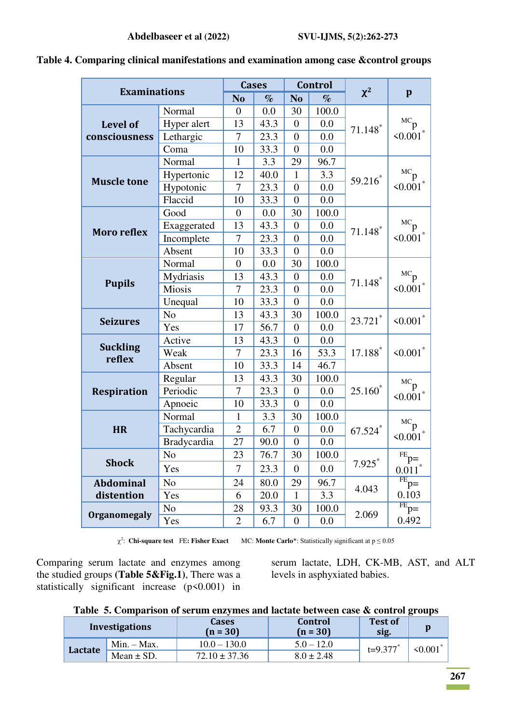|                           |                |                | <b>Cases</b> |                  | <b>Control</b> |                       |                                  |  |
|---------------------------|----------------|----------------|--------------|------------------|----------------|-----------------------|----------------------------------|--|
| <b>Examinations</b>       |                | N <sub>o</sub> | $\%$         | N <sub>o</sub>   | $\%$           | $\chi^2$              | $\mathbf{p}$                     |  |
|                           | Normal         | $\overline{0}$ | 0.0          | 30               | 100.0          |                       |                                  |  |
| Level of                  | Hyper alert    | 13             | 43.3         | $\overline{0}$   | 0.0            | $71.148$ <sup>*</sup> | ${}^{\text{MC}}p$                |  |
| consciousness             | Lethargic      | $\overline{7}$ | 23.3         | $\overline{0}$   | 0.0            |                       | $\leq 0.001$                     |  |
|                           | Coma           | 10             | 33.3         | $\boldsymbol{0}$ | 0.0            |                       |                                  |  |
|                           | Normal         | $\mathbf{1}$   | 3.3          | 29               | 96.7           |                       |                                  |  |
|                           | Hypertonic     | 12             | 40.0         | $\mathbf{1}$     | 3.3            | 59.216*               | $MC_{p}$                         |  |
| <b>Muscle tone</b>        | Hypotonic      | $\overline{7}$ | 23.3         | $\overline{0}$   | 0.0            |                       | $\leq 0.001$ <sup>*</sup>        |  |
|                           | Flaccid        | 10             | 33.3         | $\boldsymbol{0}$ | 0.0            |                       |                                  |  |
|                           | Good           | $\overline{0}$ | 0.0          | 30               | 100.0          |                       |                                  |  |
| <b>Moro reflex</b>        | Exaggerated    | 13             | 43.3         | $\overline{0}$   | 0.0            | $71.148*$             | $MC_{p}$                         |  |
|                           | Incomplete     | $\overline{7}$ | 23.3         | $\overline{0}$   | 0.0            |                       | $\leq 0.001$ <sup>*</sup>        |  |
|                           | Absent         | 10             | 33.3         | $\overline{0}$   | 0.0            |                       |                                  |  |
|                           | Normal         | $\overline{0}$ | 0.0          | 30               | 100.0          |                       |                                  |  |
|                           | Mydriasis      | 13             | 43.3         | $\boldsymbol{0}$ | 0.0            | $71.148$ <sup>*</sup> | ${}^{\text{MC}}p$                |  |
| <b>Pupils</b>             | Miosis         | 7              | 23.3         | $\overline{0}$   | 0.0            |                       | $\leq 0.001$ <sup>*</sup>        |  |
|                           | Unequal        | 10             | 33.3         | $\overline{0}$   | 0.0            |                       |                                  |  |
|                           | N <sub>o</sub> | 13             | 43.3         | 30               | 100.0          | $23.721$ *            | $\leq 0.001$ <sup>*</sup>        |  |
| <b>Seizures</b>           | Yes            | 17             | 56.7         | $\overline{0}$   | 0.0            |                       |                                  |  |
|                           | Active         | 13             | 43.3         | $\overline{0}$   | 0.0            |                       |                                  |  |
| <b>Suckling</b><br>reflex | Weak           | $\overline{7}$ | 23.3         | 16               | 53.3           | 17.188*               | $\leq 0.001$ <sup>*</sup>        |  |
|                           | Absent         | 10             | 33.3         | 14               | 46.7           |                       |                                  |  |
|                           | Regular        | 13             | 43.3         | 30               | 100.0          |                       | ${}^{\text{MC}}p$                |  |
| <b>Respiration</b>        | Periodic       | $\overline{7}$ | 23.3         | $\boldsymbol{0}$ | 0.0            | $25.160*$             | $< 0.001$ <sup>*</sup>           |  |
|                           | Apnoeic        | 10             | 33.3         | $\overline{0}$   | 0.0            |                       |                                  |  |
|                           | Normal         | $\mathbf{1}$   | 3.3          | 30               | 100.0          |                       |                                  |  |
| <b>HR</b>                 | Tachycardia    | $\overline{2}$ | 6.7          | $\overline{0}$   | 0.0            | $67.524$ *            | ${}^{\text{MC}}p$                |  |
|                           | Bradycardia    | 27             | 90.0         | $\overline{0}$   | 0.0            |                       | $\leq 0.001$ <sup>*</sup>        |  |
|                           | N <sub>o</sub> | 23             | 76.7         | 30               | 100.0          |                       | $PE$ $p=$                        |  |
| <b>Shock</b>              | Yes            | $\overline{7}$ | 23.3         | $\overline{0}$   | 0.0            | 7.925                 | $0.011$ <sup>*</sup>             |  |
| <b>Abdominal</b>          | N <sub>o</sub> | 24             | 80.0         | 29               | 96.7           |                       | $\overline{FB}$ $\overline{p}$ = |  |
| distention                | Yes            | 6              | 20.0         | $\mathbf{1}$     | 3.3            | 4.043                 | 0.103                            |  |
|                           | N <sub>o</sub> | 28             | 93.3         | 30               | 100.0          | 2.069                 | FE<br>$p=$                       |  |
| <b>Organomegaly</b>       | Yes            | $\overline{2}$ | 6.7          | $\boldsymbol{0}$ | 0.0            |                       | 0.492                            |  |

**Table 4. Comparing clinical manifestations and examination among case &control groups** 

2 : **Chi-square test** FE**: Fisher Exact** MC: **Monte Carlo**\*: Statistically significant at p ≤ 0.05

Comparing serum lactate and enzymes among the studied groups **(Table 5&Fig.1)**, There was a statistically significant increase  $(p<0.001)$  in serum lactate, LDH, CK-MB, AST, and ALT levels in asphyxiated babies.

|  |  | Table 5. Comparison of serum enzymes and lactate between case & control groups |  |  |
|--|--|--------------------------------------------------------------------------------|--|--|
|  |  |                                                                                |  |  |

|                | <b>Investigations</b> | <b>Cases</b><br>$(n = 30)$ | Control<br>$(n = 30)$ | <b>Test of</b><br>sig. |         |
|----------------|-----------------------|----------------------------|-----------------------|------------------------|---------|
|                | $Min. - Max.$         | $10.0 - 130.0$             | $5.0 - 12.0$          | $t=9.377$ *            | < 0.001 |
| <b>Lactate</b> | Mean $\pm$ SD.        | $72.10 \pm 37.36$          | $8.0 \pm 2.48$        |                        |         |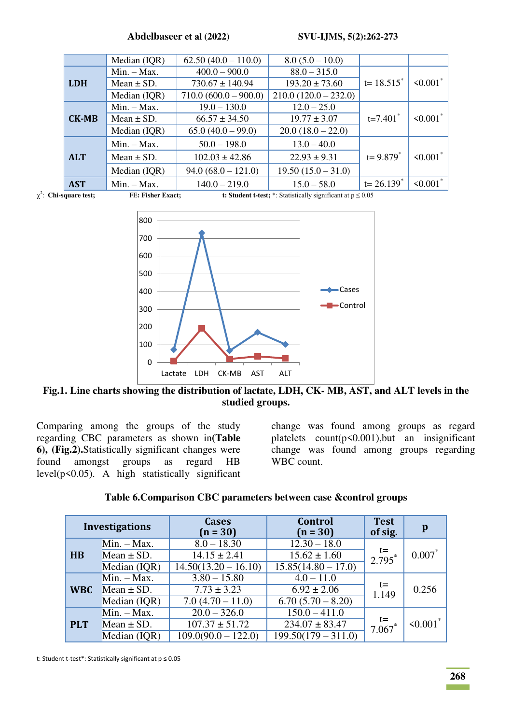|              | Median (IQR)   | $62.50(40.0 - 110.0)$   | $8.0 (5.0 - 10.0)$     |                        |                |
|--------------|----------------|-------------------------|------------------------|------------------------|----------------|
|              | $Min. - Max.$  | $400.0 - 900.0$         | $88.0 - 315.0$         |                        |                |
| <b>LDH</b>   | Mean $\pm$ SD. | $730.67 \pm 140.94$     | $193.20 \pm 73.60$     | $t = 18.515^*$         | $\leq 0.001$ * |
|              | Median (IQR)   | $710.0 (600.0 - 900.0)$ | $210.0(120.0 - 232.0)$ |                        |                |
|              | $Min. - Max.$  | $19.0 - 130.0$          | $12.0 - 25.0$          |                        |                |
| <b>CK-MB</b> | Mean $\pm$ SD. | $66.57 \pm 34.50$       | $19.77 \pm 3.07$       | $t=7.401$ <sup>*</sup> | $\leq 0.001$ * |
|              | Median (IQR)   | $65.0(40.0 - 99.0)$     | $20.0(18.0 - 22.0)$    |                        |                |
|              | $Min. - Max.$  | $50.0 - 198.0$          | $13.0 - 40.0$          |                        |                |
| <b>ALT</b>   | Mean $\pm$ SD. | $102.03 \pm 42.86$      | $22.93 \pm 9.31$       | $t = 9.879^*$          | $\leq 0.001$ * |
|              | Median (IQR)   | $94.0 (68.0 - 121.0)$   | $19.50(15.0 - 31.0)$   |                        |                |
| <b>AST</b>   | $Min. - Max.$  | $140.0 - 219.0$         | $15.0 - 58.0$          | $t = 26.139^*$         | $\leq 0.001$   |



 $\chi^2$ 

**FE: Fisher Exact; t: Student t-test;** \*: Statistically significant at p ≤ 0.05



**Fig.1. Line charts showing the distribution of lactate, LDH, CK- MB, AST, and ALT levels in the studied groups.** 

Comparing among the groups of the study regarding CBC parameters as shown in**(Table 6), (Fig.2).**Statistically significant changes were found amongst groups as regard HB level( $p$ <0.05). A high statistically significant

change was found among groups as regard platelets  $count(p<0.001)$ , but an insignificant change was found among groups regarding WBC count.

|  | Table 6. Comparison CBC parameters between case & control groups |  |
|--|------------------------------------------------------------------|--|
|  |                                                                  |  |

|            | <b>Investigations</b> | <b>Cases</b><br>$(n = 30)$ | <b>Control</b><br>$(n = 30)$ | <b>Test</b><br>of sig. | p            |
|------------|-----------------------|----------------------------|------------------------------|------------------------|--------------|
|            | $Min. - Max.$         | $8.0 - 18.30$              | $12.30 - 18.0$               |                        |              |
| H B        | Mean $\pm$ SD.        | $14.15 \pm 2.41$           | $15.62 \pm 1.60$             | $t =$<br>$2.795*$      | $0.007*$     |
|            | Median (IQR)          | $14.50(13.20 - 16.10)$     | $15.85(14.80 - 17.0)$        |                        |              |
|            | $Min. - Max.$         | $3.80 - 15.80$             | $4.0 - 11.0$                 |                        |              |
| <b>WBC</b> | Mean $\pm$ SD.        | $7.73 \pm 3.23$            | $6.92 \pm 2.06$              | $t =$<br>1.149         | 0.256        |
|            | Median (IQR)          | $7.0(4.70 - 11.0)$         | $6.70(5.70-8.20)$            |                        |              |
|            | $Min. - Max.$         | $20.0 - 326.0$             | $150.0 - 411.0$              |                        |              |
| <b>PLT</b> | Mean $\pm$ SD.        | $107.37 \pm 51.72$         | $234.07 \pm 83.47$           | $t =$<br>$7.067*$      | $\leq 0.001$ |
|            | Median (IQR)          | $109.0(90.0 - 122.0)$      | $199.50(179 - 311.0)$        |                        |              |

t: Student t-test\*: Statistically significant at p ≤ 0.05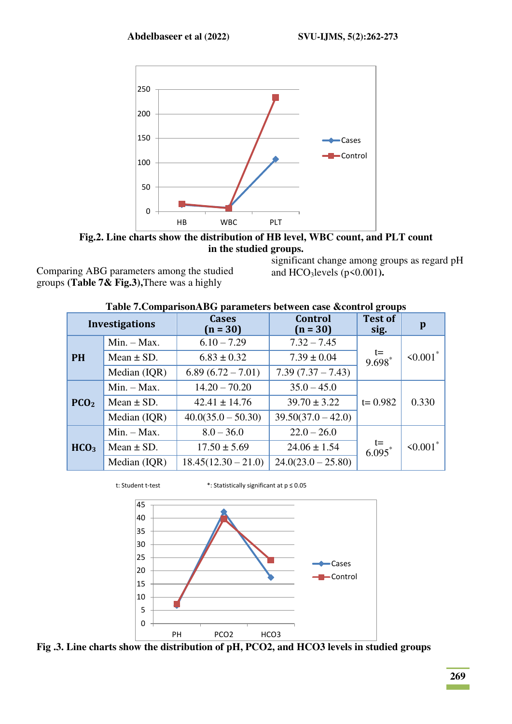

**Fig.2. Line charts show the distribution of HB level, WBC count, and PLT count in the studied groups.** 

Comparing ABG parameters among the studied groups **(Table 7& Fig.3),**There was a highly

significant change among groups as regard pH and HCO3levels (p<0.001**).**

# **Table 7.ComparisonABG parameters between case &control groups**

|                  | <b>Investigations</b> | <b>Cases</b><br>$(n = 30)$                 | <b>Control</b><br>$(n = 30)$ | <b>Test of</b><br>sig.     | $\mathbf{p}$   |
|------------------|-----------------------|--------------------------------------------|------------------------------|----------------------------|----------------|
|                  | $Min. - Max.$         | $6.10 - 7.29$                              | $7.32 - 7.45$                |                            |                |
| <b>PH</b>        | Mean $\pm$ SD.        | $6.83 \pm 0.32$                            | $7.39 \pm 0.04$              | $t=$<br>9.698 <sup>*</sup> | $\leq 0.001$ * |
|                  | Median (IQR)          | $7.39(7.37 - 7.43)$<br>$6.89(6.72 - 7.01)$ |                              |                            |                |
|                  | $Min. - Max.$         | $14.20 - 70.20$                            | $35.0 - 45.0$                |                            |                |
| PCO <sub>2</sub> | Mean $\pm$ SD.        | $42.41 \pm 14.76$                          | $39.70 \pm 3.22$             | $t = 0.982$                | 0.330          |
|                  | Median (IQR)          | $40.0(35.0 - 50.30)$                       | $39.50(37.0 - 42.0)$         |                            |                |
|                  | $Min. - Max.$         | $8.0 - 36.0$                               | $22.0 - 26.0$                |                            |                |
| HCO <sub>3</sub> | Mean $\pm$ SD.        | $17.50 \pm 5.69$                           | $24.06 \pm 1.54$             | $t=$<br>6.095 <sup>*</sup> | $\leq 0.001$ * |
|                  | Median (IQR)          | $18.45(12.30 - 21.0)$                      | $24.0(23.0 - 25.80)$         |                            |                |



t: Student t-test \*: Statistically significant at p ≤ 0.05



**Fig .3. Line charts show the distribution of pH, PCO2, and HCO3 levels in studied groups** 

**College**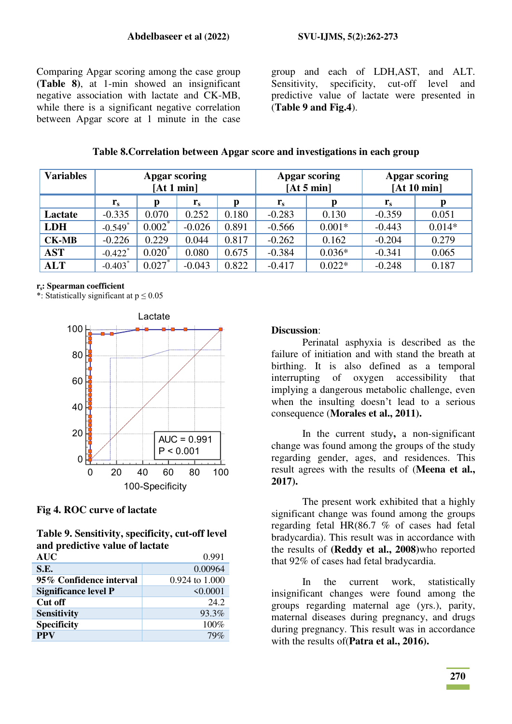Comparing Apgar scoring among the case group **(Table 8)**, at 1-min showed an insignificant negative association with lactate and CK-MB, while there is a significant negative correlation between Apgar score at 1 minute in the case

group and each of LDH,AST, and ALT. Sensitivity, specificity, cut-off level and predictive value of lactate were presented in (**Table 9 and Fig.4**).

| <b>Variables</b> | <b>Apgar scoring</b><br>[At 1 min] |           |          |       | Apgar scoring<br>[At 5 min] | <b>Apgar scoring</b><br>[At 10 min] |          |          |
|------------------|------------------------------------|-----------|----------|-------|-----------------------------|-------------------------------------|----------|----------|
|                  | $r_{s}$                            | p         | $r_{s}$  | p     | $\mathbf{r}_s$              | p                                   | $r_{s}$  | p        |
| <b>Lactate</b>   | $-0.335$                           | 0.070     | 0.252    | 0.180 | $-0.283$                    | 0.130                               | $-0.359$ | 0.051    |
| <b>LDH</b>       | $-0.549$ <sup>*</sup>              | $0.002^*$ | $-0.026$ | 0.891 | $-0.566$                    | $0.001*$                            | $-0.443$ | $0.014*$ |
| <b>CK-MB</b>     | $-0.226$                           | 0.229     | 0.044    | 0.817 | $-0.262$                    | 0.162                               | $-0.204$ | 0.279    |
| AST              | $-0.422$ <sup>*</sup>              | $0.020^*$ | 0.080    | 0.675 | $-0.384$                    | $0.036*$                            | $-0.341$ | 0.065    |
| <b>ALT</b>       | $-0.403$ <sup>*</sup>              | $0.027*$  | $-0.043$ | 0.822 | $-0.417$                    | $0.022*$                            | $-0.248$ | 0.187    |

#### **Table 8.Correlation between Apgar score and investigations in each group**

#### **rs: Spearman coefficient**

\*: Statistically significant at  $p \le 0.05$ 



#### **Fig 4. ROC curve of lactate**

**Table 9. Sensitivity, specificity, cut-off level and predictive value of lactate** 

| 0.991          |
|----------------|
| 0.00964        |
| 0.924 to 1.000 |
| $\leq 0.0001$  |
| 24.2           |
| 93.3%          |
| 100%           |
| 79%            |
|                |

#### **Discussion**:

Perinatal asphyxia is described as the failure of initiation and with stand the breath at birthing. It is also defined as a temporal interrupting of oxygen accessibility that implying a dangerous metabolic challenge, even when the insulting doesn't lead to a serious consequence (**Morales et al., 2011).**

In the current study**,** a non-significant change was found among the groups of the study regarding gender, ages, and residences. This result agrees with the results of (**Meena et al., 2017).**

The present work exhibited that a highly significant change was found among the groups regarding fetal HR(86.7 % of cases had fetal bradycardia). This result was in accordance with the results of **(Reddy et al., 2008)**who reported that 92% of cases had fetal bradycardia.

In the current work, statistically insignificant changes were found among the groups regarding maternal age (yrs.), parity, maternal diseases during pregnancy, and drugs during pregnancy. This result was in accordance with the results of(**Patra et al., 2016).**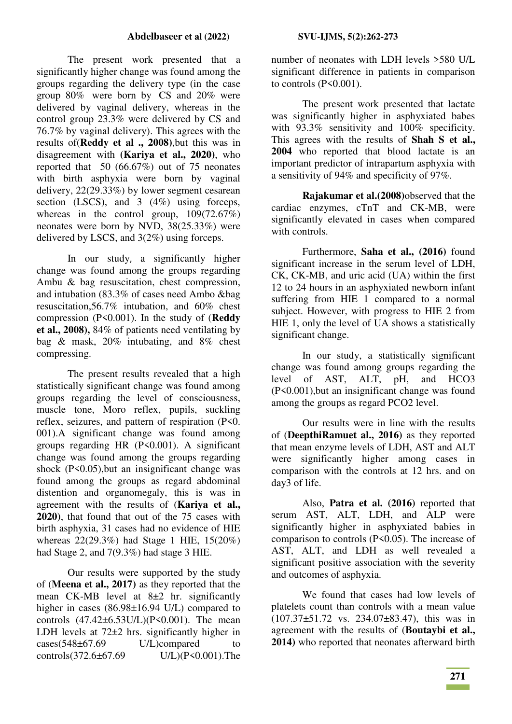The present work presented that a significantly higher change was found among the groups regarding the delivery type (in the case group 80% were born by CS and 20% were delivered by vaginal delivery, whereas in the control group 23.3% were delivered by CS and 76.7% by vaginal delivery). This agrees with the results of(**Reddy et al ., 2008)**,but this was in disagreement with **(Kariya et al., 2020)**, who reported that 50 (66.67%) out of 75 neonates with birth asphyxia were born by vaginal delivery, 22(29.33%) by lower segment cesarean section (LSCS), and 3 (4%) using forceps, whereas in the control group,  $109(72.67%)$ neonates were born by NVD, 38(25.33%) were delivered by LSCS, and 3(2%) using forceps.

In our study, a significantly higher change was found among the groups regarding Ambu & bag resuscitation, chest compression, and intubation (83.3% of cases need Ambo &bag resuscitation,56.7% intubation, and 60% chest compression (P<0.001). In the study of (**Reddy et al., 2008),** 84% of patients need ventilating by bag & mask, 20% intubating, and 8% chest compressing.

The present results revealed that a high statistically significant change was found among groups regarding the level of consciousness, muscle tone, Moro reflex, pupils, suckling reflex, seizures, and pattern of respiration (P<0. 001).A significant change was found among groups regarding HR (P<0.001). A significant change was found among the groups regarding shock (P<0.05),but an insignificant change was found among the groups as regard abdominal distention and organomegaly, this is was in agreement with the results of (**Kariya et al., 2020)**, that found that out of the 75 cases with birth asphyxia, 31 cases had no evidence of HIE whereas 22(29.3%) had Stage 1 HIE, 15(20%) had Stage 2, and 7(9.3%) had stage 3 HIE.

Our results were supported by the study of (**Meena et al., 2017)** as they reported that the mean CK-MB level at 8±2 hr. significantly higher in cases (86.98±16.94 U/L) compared to controls  $(47.42 \pm 6.53 U/L)(P \le 0.001)$ . The mean LDH levels at  $72\pm2$  hrs. significantly higher in cases(548±67.69 U/L)compared to controls(372.6±67.69 U/L)(P<0.001).The number of neonates with LDH levels >580 U/L significant difference in patients in comparison to controls  $(P<0.001)$ .

The present work presented that lactate was significantly higher in asphyxiated babes with 93.3% sensitivity and 100% specificity. This agrees with the results of **Shah S et al., 2004** who reported that blood lactate is an important predictor of intrapartum asphyxia with a sensitivity of 94% and specificity of 97%.

**Rajakumar et al.(2008)**observed that the cardiac enzymes, cTnT and CK-MB, were significantly elevated in cases when compared with controls.

Furthermore, **Saha et al., (2016)** found significant increase in the serum level of LDH, CK, CK-MB, and uric acid (UA) within the first 12 to 24 hours in an asphyxiated newborn infant suffering from HIE 1 compared to a normal subject. However, with progress to HIE 2 from HIE 1, only the level of UA shows a statistically significant change.

In our study, a statistically significant change was found among groups regarding the level of AST, ALT, pH, and HCO3 (P<0.001),but an insignificant change was found among the groups as regard PCO2 level.

Our results were in line with the results of (**DeepthiRamuet al., 2016)** as they reported that mean enzyme levels of LDH, AST and ALT were significantly higher among cases in comparison with the controls at 12 hrs. and on day3 of life.

Also, **Patra et al. (2016)** reported that serum AST, ALT, LDH, and ALP were significantly higher in asphyxiated babies in comparison to controls (P<0.05). The increase of AST, ALT, and LDH as well revealed a significant positive association with the severity and outcomes of asphyxia.

We found that cases had low levels of platelets count than controls with a mean value (107.37±51.72 vs. 234.07±83.47), this was in agreement with the results of (**Boutaybi et al., 2014)** who reported that neonates afterward birth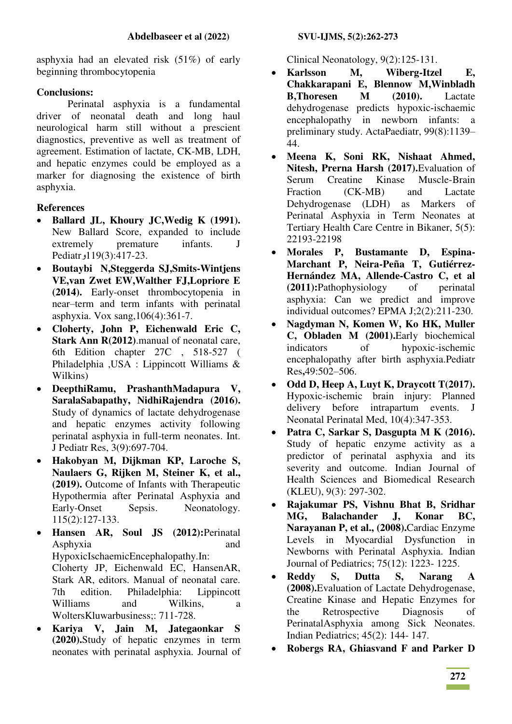asphyxia had an elevated risk (51%) of early beginning thrombocytopenia

# **Conclusions:**

Perinatal asphyxia is a fundamental driver of neonatal death and long haul neurological harm still without a prescient diagnostics, preventive as well as treatment of agreement. Estimation of lactate, CK-MB, LDH, and hepatic enzymes could be employed as a marker for diagnosing the existence of birth asphyxia.

# **References**

- **Ballard JL, Khoury JC,Wedig K (1991).** New Ballard Score, expanded to include extremely premature infants. J Pediatr<sub>2</sub>119(3):417-23.
- **Boutaybi N,Steggerda SJ,Smits-Wintjens VE,van Zwet EW,Walther FJ,Lopriore E (2014).** Early-onset thrombocytopenia in near–term and term infants with perinatal asphyxia. Vox sang,106(4):361-7.
- **Cloherty, John P, Eichenwald Eric C, Stark Ann R(2012)**.manual of neonatal care, 6th Edition chapter 27C , 518-527 ( Philadelphia ,USA : Lippincott Williams & Wilkins)
- **DeepthiRamu, PrashanthMadapura V, SaralaSabapathy, NidhiRajendra (2016).** Study of dynamics of lactate dehydrogenase and hepatic enzymes activity following perinatal asphyxia in full-term neonates. Int. J Pediatr Res, 3(9):697-704.
- **Hakobyan M, Dijkman KP, Laroche S, Naulaers G, Rijken M, Steiner K, et al., (2019).** Outcome of Infants with Therapeutic Hypothermia after Perinatal Asphyxia and Early-Onset Sepsis. Neonatology. 115(2):127-133.
- **Hansen AR, Soul JS (2012):**Perinatal Asphyxia and and HypoxicIschaemicEncephalopathy.In: Cloherty JP, Eichenwald EC, HansenAR, Stark AR, editors. Manual of neonatal care. 7th edition. Philadelphia: Lippincott Williams and Wilkins, a WoltersKluwarbusiness;: 711-728.
- **Kariya V, Jain M, Jategaonkar S (2020).**Study of hepatic enzymes in term neonates with perinatal asphyxia. Journal of

Clinical Neonatology, 9(2):125-131.

- **Karlsson M, Wiberg-Itzel E, Chakkarapani E, Blennow M,Winbladh B,Thoresen M (2010).** Lactate dehydrogenase predicts hypoxic-ischaemic encephalopathy in newborn infants: a preliminary study. ActaPaediatr, 99(8):1139– 44.
- **Meena K, Soni RK, Nishaat Ahmed, Nitesh, Prerna Harsh (2017).**Evaluation of Serum Creatine Kinase Muscle-Brain Fraction (CK-MB) and Lactate Dehydrogenase (LDH) as Markers of Perinatal Asphyxia in Term Neonates at Tertiary Health Care Centre in Bikaner, 5(5): 22193-22198
- **Morales P, Bustamante D, Espina-Marchant P, Neira-Peña T, Gutiérrez-Hernández MA, Allende-Castro C, et al (2011):**Pathophysiology of perinatal asphyxia: Can we predict and improve individual outcomes? EPMA J;2(2):211-230.
- **Nagdyman N, Komen W, Ko HK, Muller C, Obladen M (2001).**Early biochemical indicators of hypoxic-ischemic encephalopathy after birth asphyxia.Pediatr Res**,**49:502–506.
- **Odd D, Heep A, Luyt K, Draycott T(2017).** Hypoxic-ischemic brain injury: Planned delivery before intrapartum events. J Neonatal Perinatal Med, 10(4):347-353.
- **Patra C, Sarkar S, Dasgupta M K (2016).** Study of hepatic enzyme activity as a predictor of perinatal asphyxia and its severity and outcome. Indian Journal of Health Sciences and Biomedical Research (KLEU), 9(3): 297-302.
- **Rajakumar PS, Vishnu Bhat B, Sridhar MG, Balachander J, Konar BC, Narayanan P, et al., (2008).**Cardiac Enzyme Levels in Myocardial Dysfunction in Newborns with Perinatal Asphyxia. Indian Journal of Pediatrics; 75(12): 1223- 1225.
- **Reddy S, Dutta S, Narang A (2008).**Evaluation of Lactate Dehydrogenase, Creatine Kinase and Hepatic Enzymes for the Retrospective Diagnosis of PerinatalAsphyxia among Sick Neonates. Indian Pediatrics; 45(2): 144- 147.
- **Robergs RA, Ghiasvand F and Parker D**